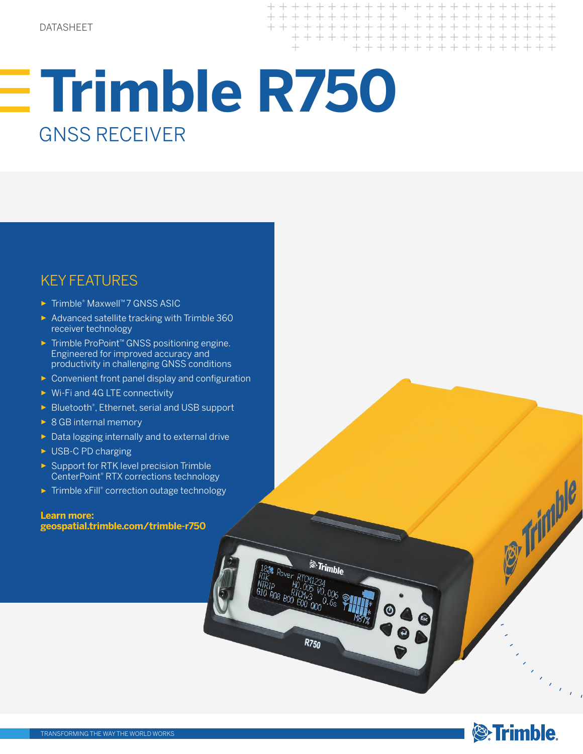+ + + + + + +

<sup>&</sup>Trimble

**R750** 

# **Trimble R750** GNSS RECEIVER

## KEY FEATURES

- ► Trimble® Maxwell™ 7 GNSS ASIC
- ► Advanced satellite tracking with Trimble 360 receiver technology
- ► Trimble ProPoint™ GNSS positioning engine. Engineered for improved accuracy and productivity in challenging GNSS conditions
- ► Convenient front panel display and configuration
- ► Wi-Fi and 4G LTE connectivity
- ► Bluetooth® , Ethernet, serial and USB support
- ► 8 GB internal memory
- ► Data logging internally and to external drive
- ► USB-C PD charging
- ► Support for RTK level precision Trimble CenterPoint® RTX corrections technology
- ► Trimble xFill® correction outage technology

### **Learn more: geospatial.trimble.com/trimble-r750**



**OF Trimble** 

ta<br>Maria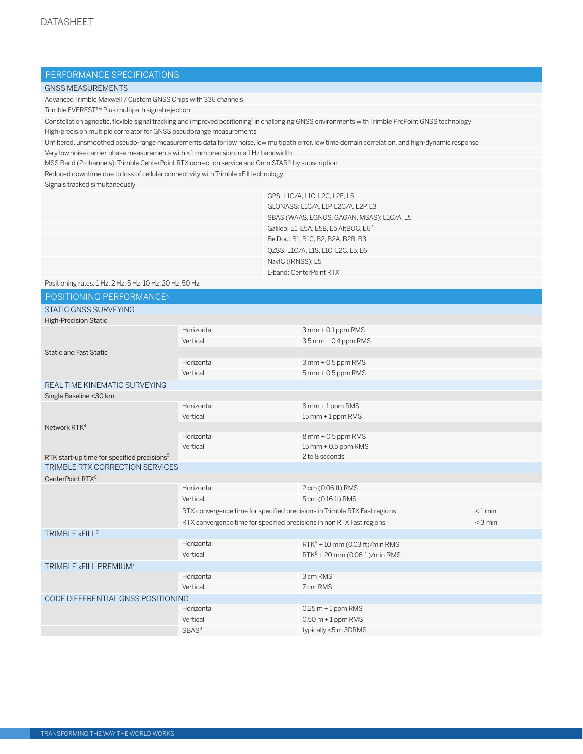## PERFORMANCE SPECIFICATIONS

#### GNSS MEASUREMENTS

Advanced Trimble Maxwell 7 Custom GNSS Chips with 336 channels

Trimble EVEREST™ Plus multipath signal rejection

Constellation agnostic, flexible signal tracking and improved positioning<sup>1</sup> in challenging GNSS environments with Trimble ProPoint GNSS technology High-precision multiple correlator for GNSS pseudorange measurements

Unfiltered, unsmoothed pseudo-range measurements data for low noise, low multipath error, low time domain correlation, and high-dynamic response

Very low noise carrier phase measurements with <1 mm precision in a 1 Hz bandwidth

MSS Band (2-channels): Trimble CenterPoint RTX correction service and OmniSTAR® by subscription

Reduced downtime due to loss of cellular connectivity with Trimble xFill technology

Signals tracked simultaneously

| GPS: L1C/A, L1C, L2C, L2E, L5                     |
|---------------------------------------------------|
| GLONASS: L1C/A, L1P, L2C/A, L2P, L3               |
| SBAS (WAAS, EGNOS, GAGAN, MSAS): L1C/A, L5        |
| Galileo: E1. E5A. E5B. E5 AltBOC. E6 <sup>2</sup> |
| BeiDou: B1, B1C, B2, B2A, B2B, B3                 |
| QZSS: L1C/A, L1S, L1C, L2C, L5, L6                |
| NavIC (IRNSS): L5                                 |
| L-band: CenterPoint RTX                           |

|                                                          |                                                                           | L-band: CenterPoint RTX           |           |
|----------------------------------------------------------|---------------------------------------------------------------------------|-----------------------------------|-----------|
| Positioning rates: 1 Hz, 2 Hz, 5 Hz, 10 Hz, 20 Hz, 50 Hz |                                                                           |                                   |           |
| POSITIONING PERFORMANCE <sup>3</sup>                     |                                                                           |                                   |           |
| <b>STATIC GNSS SURVEYING</b>                             |                                                                           |                                   |           |
| <b>High-Precision Static</b>                             |                                                                           |                                   |           |
|                                                          | Horizontal                                                                | $3$ mm + 0.1 ppm RMS              |           |
|                                                          | Vertical                                                                  | $3.5$ mm + 0.4 ppm RMS            |           |
| <b>Static and Fast Static</b>                            |                                                                           |                                   |           |
|                                                          | Horizontal                                                                | $3$ mm + 0.5 ppm RMS              |           |
|                                                          | Vertical                                                                  | $5$ mm + 0.5 ppm RMS              |           |
| REAL TIME KINEMATIC SURVEYING                            |                                                                           |                                   |           |
| Single Baseline < 30 km                                  |                                                                           |                                   |           |
|                                                          | Horizontal                                                                | 8 mm + 1 ppm RMS                  |           |
|                                                          | Vertical                                                                  | $15$ mm + 1 ppm RMS               |           |
| Network RTK <sup>4</sup>                                 |                                                                           |                                   |           |
|                                                          | Horizontal                                                                | 8 mm + 0.5 ppm RMS                |           |
|                                                          | Vertical                                                                  | $15$ mm + 0.5 ppm RMS             |           |
| RTK start-up time for specified precisions <sup>5</sup>  |                                                                           | 2 to 8 seconds                    |           |
| TRIMBLE RTX CORRECTION SERVICES                          |                                                                           |                                   |           |
| CenterPoint RTX <sup>6</sup>                             |                                                                           |                                   |           |
|                                                          | Horizontal                                                                | 2 cm (0.06 ft) RMS                |           |
|                                                          | Vertical                                                                  | 5 cm (0.16 ft) RMS                |           |
|                                                          | RTX convergence time for specified precisions in Trimble RTX Fast regions |                                   | $< 1$ min |
|                                                          | RTX convergence time for specified precisions in non RTX Fast regions     |                                   | $<$ 3 min |
| TRIMBLE xFILL <sup>7</sup>                               |                                                                           |                                   |           |
|                                                          | Horizontal                                                                | $RTK^8 + 10$ mm (0.03 ft)/min RMS |           |
|                                                          | Vertical                                                                  | $RTK^8$ + 20 mm (0.06 ft)/min RMS |           |
| TRIMBLE xFILL PREMIUM <sup>7</sup>                       |                                                                           |                                   |           |
|                                                          | Horizontal                                                                | 3 cm RMS                          |           |
|                                                          | Vertical                                                                  | 7 cm RMS                          |           |
| CODE DIFFERENTIAL GNSS POSITIONING                       |                                                                           |                                   |           |
|                                                          | Horizontal                                                                | $0.25 m + 1$ ppm RMS              |           |
|                                                          | Vertical                                                                  | $0.50 m + 1$ ppm RMS              |           |
|                                                          | SBAS <sup>9</sup>                                                         | typically <5 m 3DRMS              |           |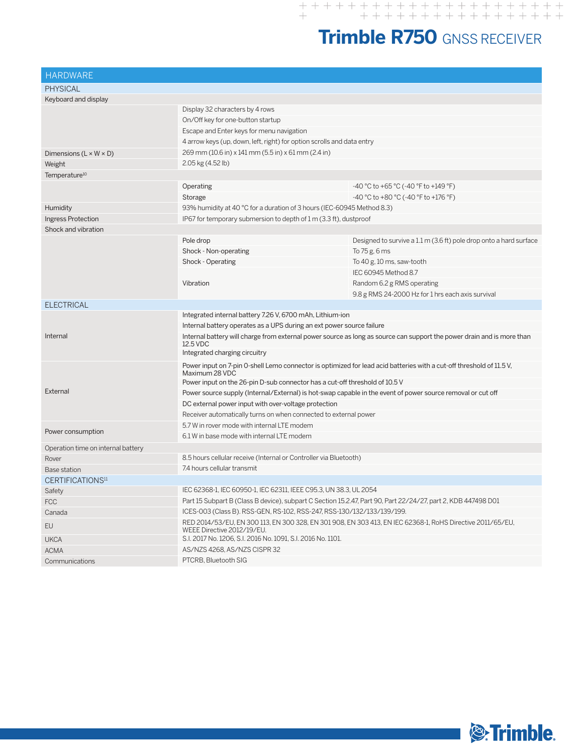# **Trimble R750** GNSS RECEIVER

| <b>HARDWARE</b>                    |                                                                                                                                          |                                                                    |  |
|------------------------------------|------------------------------------------------------------------------------------------------------------------------------------------|--------------------------------------------------------------------|--|
| <b>PHYSICAL</b>                    |                                                                                                                                          |                                                                    |  |
| Keyboard and display               |                                                                                                                                          |                                                                    |  |
|                                    | Display 32 characters by 4 rows                                                                                                          |                                                                    |  |
|                                    | On/Off key for one-button startup                                                                                                        |                                                                    |  |
|                                    | Escape and Enter keys for menu navigation                                                                                                |                                                                    |  |
|                                    | 4 arrow keys (up, down, left, right) for option scrolls and data entry                                                                   |                                                                    |  |
| Dimensions $(L \times W \times D)$ | 269 mm (10.6 in) x 141 mm (5.5 in) x 61 mm (2.4 in)                                                                                      |                                                                    |  |
| Weight                             | 2.05 kg (4.52 lb)                                                                                                                        |                                                                    |  |
| Temperature <sup>10</sup>          |                                                                                                                                          |                                                                    |  |
|                                    | Operating                                                                                                                                | -40 °C to +65 °C (-40 °F to +149 °F)                               |  |
|                                    | Storage                                                                                                                                  | -40 °C to +80 °C (-40 °F to +176 °F)                               |  |
| Humidity                           | 93% humidity at 40 °C for a duration of 3 hours (IEC-60945 Method 8.3)                                                                   |                                                                    |  |
| Ingress Protection                 | IP67 for temporary submersion to depth of 1 m (3.3 ft), dustproof                                                                        |                                                                    |  |
| Shock and vibration                |                                                                                                                                          |                                                                    |  |
|                                    | Pole drop                                                                                                                                | Designed to survive a 1.1 m (3.6 ft) pole drop onto a hard surface |  |
|                                    | Shock - Non-operating                                                                                                                    | To 75 g, 6 ms                                                      |  |
|                                    | Shock - Operating                                                                                                                        | To 40 g, 10 ms, saw-tooth                                          |  |
|                                    |                                                                                                                                          | IEC 60945 Method 8.7                                               |  |
|                                    | Vibration                                                                                                                                | Random 6.2 g RMS operating                                         |  |
|                                    |                                                                                                                                          | 9.8 g RMS 24-2000 Hz for 1 hrs each axis survival                  |  |
| <b>ELECTRICAL</b>                  |                                                                                                                                          |                                                                    |  |
|                                    | Integrated internal battery 7.26 V, 6700 mAh, Lithium-ion                                                                                |                                                                    |  |
|                                    | Internal battery operates as a UPS during an ext power source failure                                                                    |                                                                    |  |
| Internal                           | Internal battery will charge from external power source as long as source can support the power drain and is more than<br>12.5 VDC       |                                                                    |  |
|                                    | Integrated charging circuitry                                                                                                            |                                                                    |  |
|                                    | Power input on 7-pin 0-shell Lemo connector is optimized for lead acid batteries with a cut-off threshold of 11.5 V,<br>Maximum 28 VDC   |                                                                    |  |
|                                    | Power input on the 26-pin D-sub connector has a cut-off threshold of 10.5 V                                                              |                                                                    |  |
| External                           | Power source supply (Internal/External) is hot-swap capable in the event of power source removal or cut off                              |                                                                    |  |
|                                    | DC external power input with over-voltage protection                                                                                     |                                                                    |  |
|                                    | Receiver automatically turns on when connected to external power                                                                         |                                                                    |  |
|                                    | 5.7 W in rover mode with internal LTE modem                                                                                              |                                                                    |  |
| Power consumption                  | 6.1 W in base mode with internal LTE modem                                                                                               |                                                                    |  |
| Operation time on internal battery |                                                                                                                                          |                                                                    |  |
| Rover                              | 8.5 hours cellular receive (Internal or Controller via Bluetooth)                                                                        |                                                                    |  |
| <b>Base station</b>                | 7.4 hours cellular transmit                                                                                                              |                                                                    |  |
| CERTIFICATIONS <sup>11</sup>       |                                                                                                                                          |                                                                    |  |
| Safety                             | IEC 62368-1, IEC 60950-1, IEC 62311, IEEE C95.3, UN 38.3, UL 2054                                                                        |                                                                    |  |
| <b>FCC</b>                         | Part 15 Subpart B (Class B device), subpart C Section 15.2.47, Part 90, Part 22/24/27, part 2, KDB 447498 D01                            |                                                                    |  |
| Canada                             | ICES-003 (Class B). RSS-GEN, RS-102, RSS-247, RSS-130/132/133/139/199.                                                                   |                                                                    |  |
| <b>EU</b>                          | RED 2014/53/EU, EN 300 113, EN 300 328, EN 301 908, EN 303 413, EN IEC 62368-1, RoHS Directive 2011/65/EU,<br>WEEE Directive 2012/19/EU. |                                                                    |  |
| <b>UKCA</b>                        | S.I. 2017 No. 1206, S.I. 2016 No. 1091, S.I. 2016 No. 1101.                                                                              |                                                                    |  |
| <b>ACMA</b>                        | AS/NZS 4268, AS/NZS CISPR 32                                                                                                             |                                                                    |  |
| Communications                     | PTCRB. Bluetooth SIG                                                                                                                     |                                                                    |  |